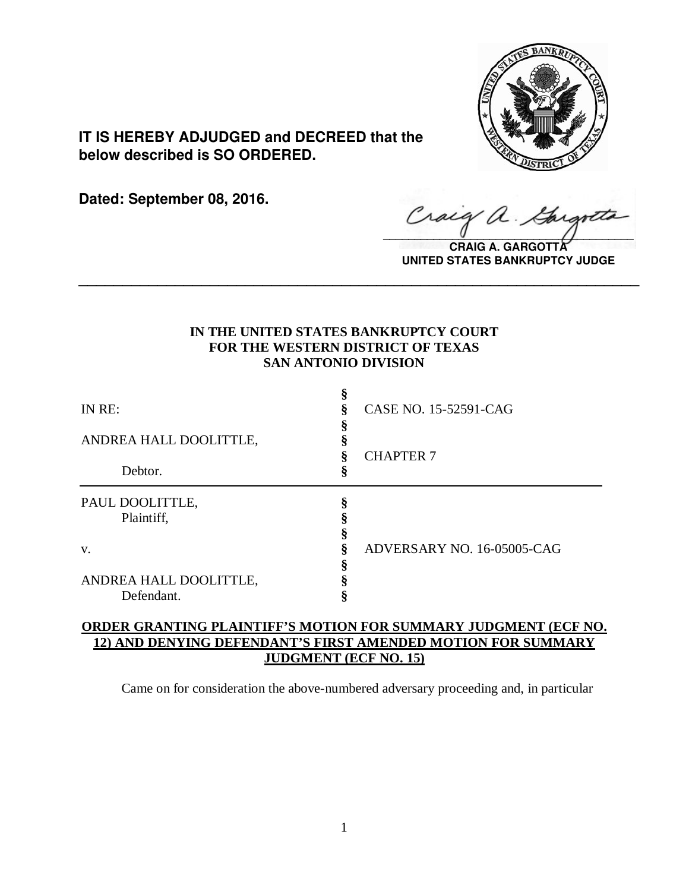

**IT IS HEREBY ADJUDGED and DECREED that the below described is SO ORDERED.**

**Dated: September 08, 2016.**

Craig a.  $\sqrt{2}$ 

**CRAIG A. GARGOTT UNITED STATES BANKRUPTCY JUDGE**

## **IN THE UNITED STATES BANKRUPTCY COURT FOR THE WESTERN DISTRICT OF TEXAS SAN ANTONIO DIVISION**

**\_\_\_\_\_\_\_\_\_\_\_\_\_\_\_\_\_\_\_\_\_\_\_\_\_\_\_\_\_\_\_\_\_\_\_\_\_\_\_\_\_\_\_\_\_\_\_\_\_\_\_\_\_\_\_\_\_\_\_\_\_\_\_\_**

| IN RE:                 | CASE NO. 15-52591-CAG      |
|------------------------|----------------------------|
| ANDREA HALL DOOLITTLE, | <b>CHAPTER 7</b>           |
| Debtor.                |                            |
| PAUL DOOLITTLE,        |                            |
| Plaintiff,             |                            |
|                        |                            |
| V.                     | ADVERSARY NO. 16-05005-CAG |
| ANDREA HALL DOOLITTLE, |                            |

# **ORDER GRANTING PLAINTIFF'S MOTION FOR SUMMARY JUDGMENT (ECF NO. 12) AND DENYING DEFENDANT'S FIRST AMENDED MOTION FOR SUMMARY JUDGMENT (ECF NO. 15)**

Came on for consideration the above-numbered adversary proceeding and, in particular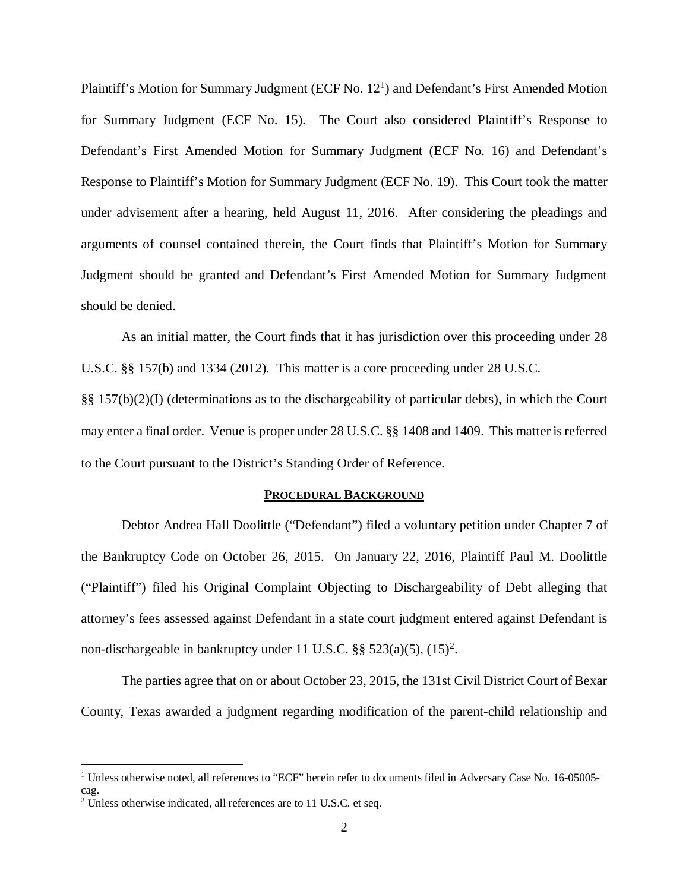Plaintiff's Motion for Summary Judgment (ECF No.  $12<sup>1</sup>$  $12<sup>1</sup>$ ) and Defendant's First Amended Motion for Summary Judgment (ECF No. 15). The Court also considered Plaintiff's Response to Defendant's First Amended Motion for Summary Judgment (ECF No. 16) and Defendant's Response to Plaintiff's Motion for Summary Judgment (ECF No. 19). This Court took the matter under advisement after a hearing, held August 11, 2016. After considering the pleadings and arguments of counsel contained therein, the Court finds that Plaintiff's Motion for Summary Judgment should be granted and Defendant's First Amended Motion for Summary Judgment should be denied.

As an initial matter, the Court finds that it has jurisdiction over this proceeding under 28 U.S.C. §§ 157(b) and 1334 (2012). This matter is a core proceeding under 28 U.S.C. §§ 157(b)(2)(I) (determinations as to the dischargeability of particular debts), in which the Court may enter a final order. Venue is proper under 28 U.S.C. §§ 1408 and 1409. This matter is referred to the Court pursuant to the District's Standing Order of Reference.

### **PROCEDURAL BACKGROUND**

Debtor Andrea Hall Doolittle ("Defendant") filed a voluntary petition under Chapter 7 of the Bankruptcy Code on October 26, 2015. On January 22, 2016, Plaintiff Paul M. Doolittle ("Plaintiff") filed his Original Complaint Objecting to Dischargeability of Debt alleging that attorney's fees assessed against Defendant in a state court judgment entered against Defendant is non-dischargeable in bankruptcy under 11 U.S.C.  $\S$ § 5[2](#page-1-1)3(a)(5), (15)<sup>2</sup>.

The parties agree that on or about October 23, 2015, the 131st Civil District Court of Bexar County, Texas awarded a judgment regarding modification of the parent-child relationship and

<span id="page-1-0"></span><sup>&</sup>lt;sup>1</sup> Unless otherwise noted, all references to "ECF" herein refer to documents filed in Adversary Case No. 16-05005cag.

<span id="page-1-1"></span><sup>&</sup>lt;sup>2</sup> Unless otherwise indicated, all references are to 11 U.S.C. et seq.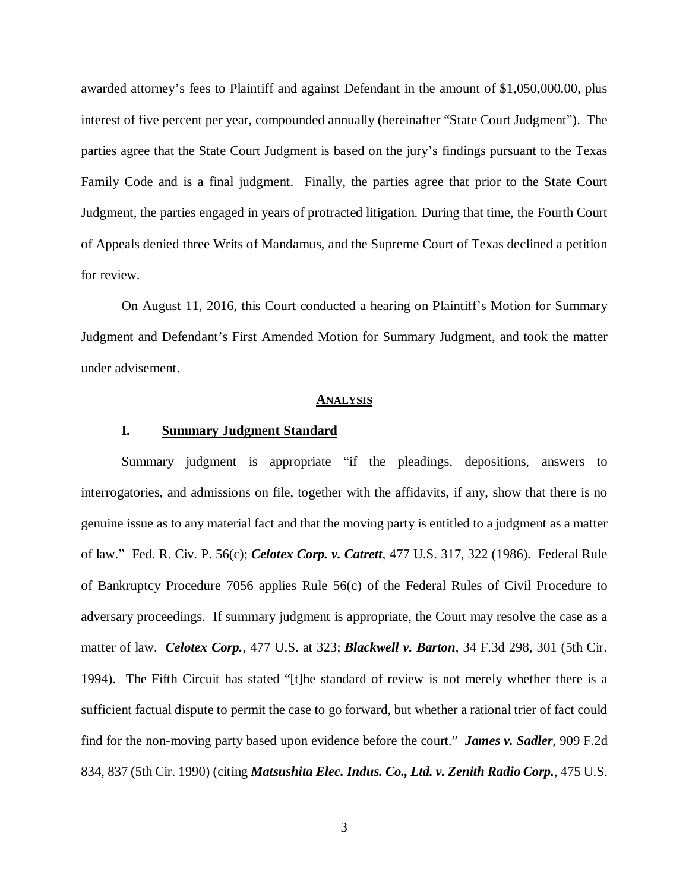awarded attorney's fees to Plaintiff and against Defendant in the amount of \$1,050,000.00, plus interest of five percent per year, compounded annually (hereinafter "State Court Judgment"). The parties agree that the State Court Judgment is based on the jury's findings pursuant to the Texas Family Code and is a final judgment. Finally, the parties agree that prior to the State Court Judgment, the parties engaged in years of protracted litigation. During that time, the Fourth Court of Appeals denied three Writs of Mandamus, and the Supreme Court of Texas declined a petition for review.

On August 11, 2016, this Court conducted a hearing on Plaintiff's Motion for Summary Judgment and Defendant's First Amended Motion for Summary Judgment, and took the matter under advisement.

#### **ANALYSIS**

### **I. Summary Judgment Standard**

Summary judgment is appropriate "if the pleadings, depositions, answers to interrogatories, and admissions on file, together with the affidavits, if any, show that there is no genuine issue as to any material fact and that the moving party is entitled to a judgment as a matter of law." Fed. R. Civ. P. 56(c); *Celotex Corp. v. Catrett*, 477 U.S. 317, 322 (1986). Federal Rule of Bankruptcy Procedure 7056 applies Rule 56(c) of the Federal Rules of Civil Procedure to adversary proceedings. If summary judgment is appropriate, the Court may resolve the case as a matter of law. *Celotex Corp.*, 477 U.S. at 323; *Blackwell v. Barton*, 34 F.3d 298, 301 (5th Cir. 1994). The Fifth Circuit has stated "[t]he standard of review is not merely whether there is a sufficient factual dispute to permit the case to go forward, but whether a rational trier of fact could find for the non-moving party based upon evidence before the court." *James v. Sadler*, 909 F.2d 834, 837 (5th Cir. 1990) (citing *Matsushita Elec. Indus. Co., Ltd. v. Zenith Radio Corp.*, 475 U.S.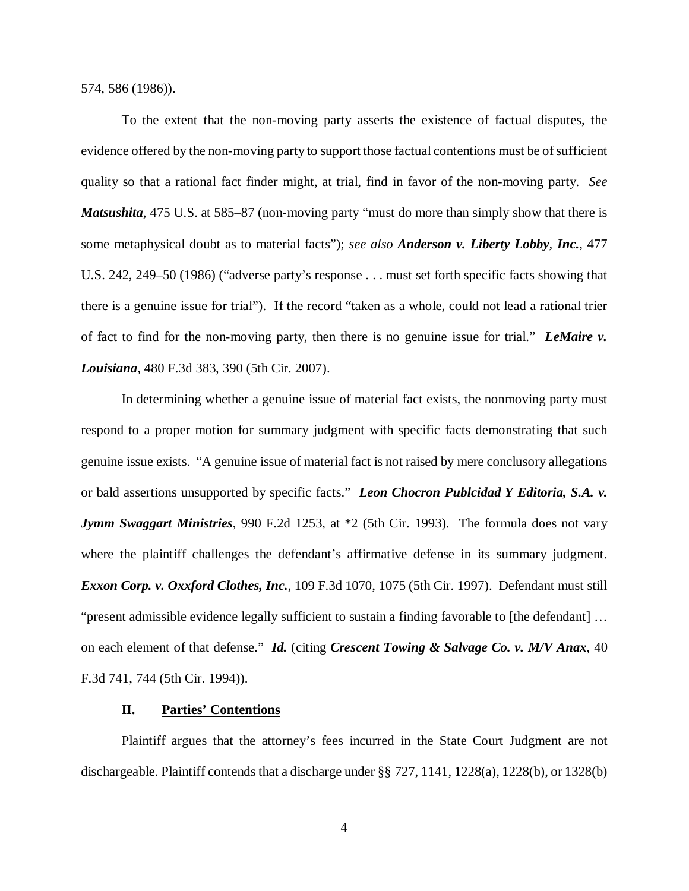574, 586 (1986)).

To the extent that the non-moving party asserts the existence of factual disputes, the evidence offered by the non-moving party to support those factual contentions must be of sufficient quality so that a rational fact finder might, at trial, find in favor of the non-moving party. *See Matsushita*, 475 U.S. at 585–87 (non-moving party "must do more than simply show that there is some metaphysical doubt as to material facts"); *see also Anderson v. Liberty Lobby, Inc.*, 477 U.S. 242, 249–50 (1986) ("adverse party's response . . . must set forth specific facts showing that there is a genuine issue for trial"). If the record "taken as a whole, could not lead a rational trier of fact to find for the non-moving party, then there is no genuine issue for trial." *LeMaire v. Louisiana*, 480 F.3d 383, 390 (5th Cir. 2007).

In determining whether a genuine issue of material fact exists, the nonmoving party must respond to a proper motion for summary judgment with specific facts demonstrating that such genuine issue exists. "A genuine issue of material fact is not raised by mere conclusory allegations or bald assertions unsupported by specific facts." *Leon Chocron Publcidad Y Editoria, S.A. v. Jymm Swaggart Ministries*, 990 F.2d 1253, at \*2 (5th Cir. 1993). The formula does not vary where the plaintiff challenges the defendant's affirmative defense in its summary judgment. *Exxon Corp. v. Oxxford Clothes, Inc.*, 109 F.3d 1070, 1075 (5th Cir. 1997). Defendant must still "present admissible evidence legally sufficient to sustain a finding favorable to [the defendant] … on each element of that defense." *Id.* (citing *Crescent Towing & Salvage Co. v. M/V Anax*, 40 F.3d 741, 744 (5th Cir. 1994)).

#### **II. Parties' Contentions**

Plaintiff argues that the attorney's fees incurred in the State Court Judgment are not dischargeable. Plaintiff contends that a discharge under  $\S$   $\frac{8}{27}$ , 1141, 1228(a), 1228(b), or 1328(b)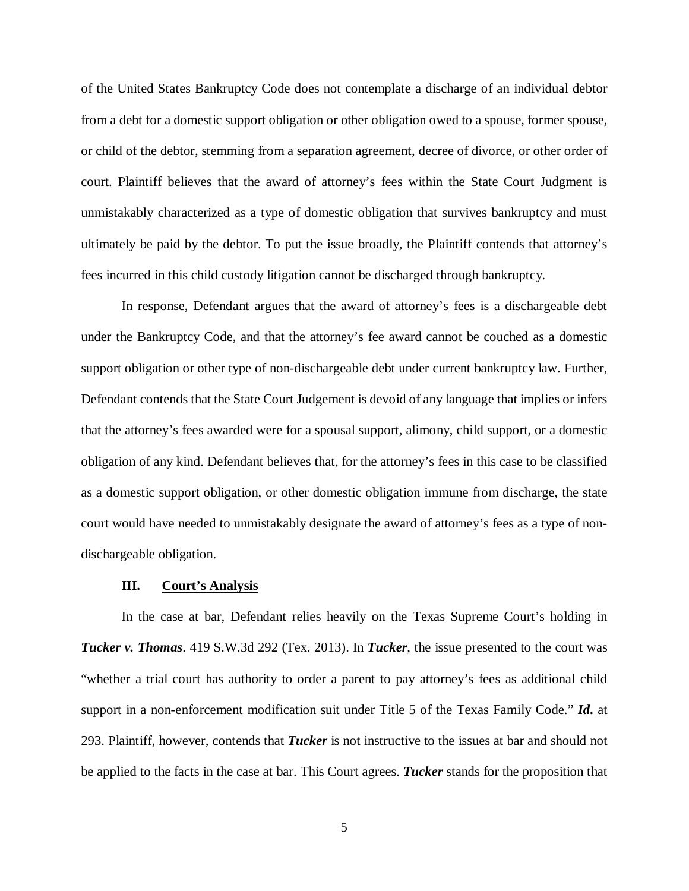of the United States Bankruptcy Code does not contemplate a discharge of an individual debtor from a debt for a domestic support obligation or other obligation owed to a spouse, former spouse, or child of the debtor, stemming from a separation agreement, decree of divorce, or other order of court. Plaintiff believes that the award of attorney's fees within the State Court Judgment is unmistakably characterized as a type of domestic obligation that survives bankruptcy and must ultimately be paid by the debtor. To put the issue broadly, the Plaintiff contends that attorney's fees incurred in this child custody litigation cannot be discharged through bankruptcy.

In response, Defendant argues that the award of attorney's fees is a dischargeable debt under the Bankruptcy Code, and that the attorney's fee award cannot be couched as a domestic support obligation or other type of non-dischargeable debt under current bankruptcy law. Further, Defendant contends that the State Court Judgement is devoid of any language that implies or infers that the attorney's fees awarded were for a spousal support, alimony, child support, or a domestic obligation of any kind. Defendant believes that, for the attorney's fees in this case to be classified as a domestic support obligation, or other domestic obligation immune from discharge, the state court would have needed to unmistakably designate the award of attorney's fees as a type of nondischargeable obligation.

#### **III. Court's Analysis**

In the case at bar, Defendant relies heavily on the Texas Supreme Court's holding in *Tucker v. Thomas*. 419 S.W.3d 292 (Tex. 2013). In *Tucker*, the issue presented to the court was "whether a trial court has authority to order a parent to pay attorney's fees as additional child support in a non-enforcement modification suit under Title 5 of the Texas Family Code." *Id***.** at 293. Plaintiff, however, contends that *Tucker* is not instructive to the issues at bar and should not be applied to the facts in the case at bar. This Court agrees. *Tucker* stands for the proposition that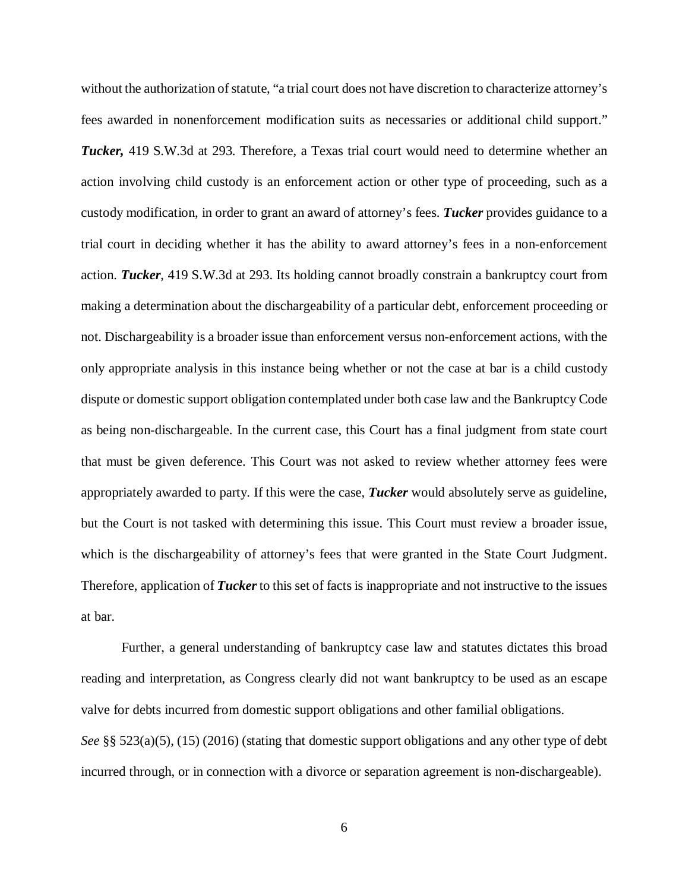without the authorization of statute, "a trial court does not have discretion to characterize attorney's fees awarded in nonenforcement modification suits as necessaries or additional child support." *Tucker,* 419 S.W.3d at 293. Therefore, a Texas trial court would need to determine whether an action involving child custody is an enforcement action or other type of proceeding, such as a custody modification, in order to grant an award of attorney's fees. *Tucker* provides guidance to a trial court in deciding whether it has the ability to award attorney's fees in a non-enforcement action. *Tucker*, 419 S.W.3d at 293. Its holding cannot broadly constrain a bankruptcy court from making a determination about the dischargeability of a particular debt, enforcement proceeding or not. Dischargeability is a broader issue than enforcement versus non-enforcement actions, with the only appropriate analysis in this instance being whether or not the case at bar is a child custody dispute or domestic support obligation contemplated under both case law and the Bankruptcy Code as being non-dischargeable. In the current case, this Court has a final judgment from state court that must be given deference. This Court was not asked to review whether attorney fees were appropriately awarded to party. If this were the case, *Tucker* would absolutely serve as guideline, but the Court is not tasked with determining this issue. This Court must review a broader issue, which is the dischargeability of attorney's fees that were granted in the State Court Judgment. Therefore, application of *Tucker*to this set of facts is inappropriate and not instructive to the issues at bar.

Further, a general understanding of bankruptcy case law and statutes dictates this broad reading and interpretation, as Congress clearly did not want bankruptcy to be used as an escape valve for debts incurred from domestic support obligations and other familial obligations. *See* §§ 523(a)(5), (15) (2016) (stating that domestic support obligations and any other type of debt incurred through, or in connection with a divorce or separation agreement is non-dischargeable).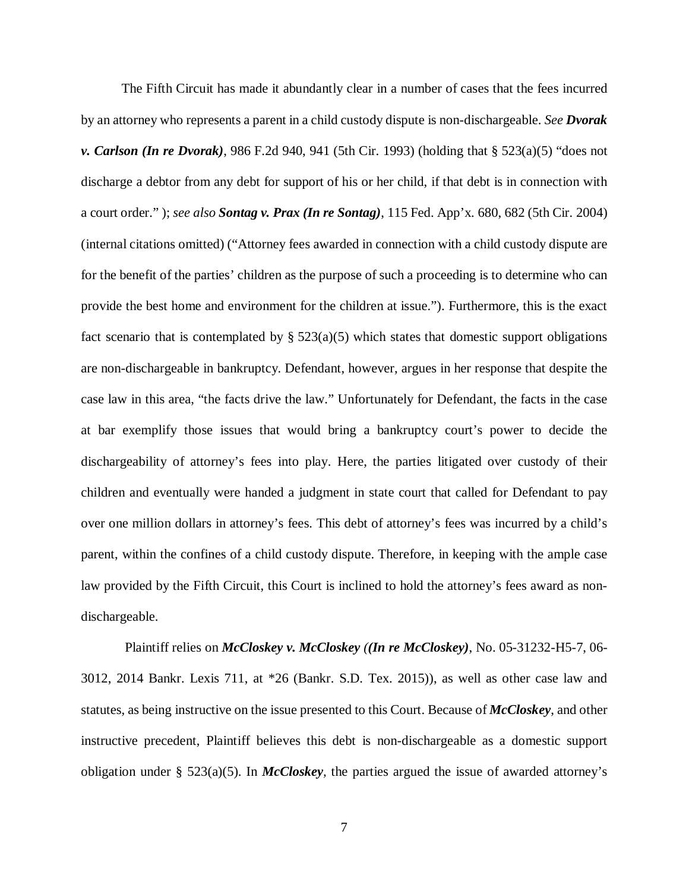The Fifth Circuit has made it abundantly clear in a number of cases that the fees incurred by an attorney who represents a parent in a child custody dispute is non-dischargeable. *See Dvorak v. Carlson (In re Dvorak)*, 986 F.2d 940, 941 (5th Cir. 1993) (holding that § 523(a)(5) "does not discharge a debtor from any debt for support of his or her child, if that debt is in connection with a court order." ); *see also Sontag v. Prax (In re Sontag)*, 115 Fed. App'x. 680, 682 (5th Cir. 2004) (internal citations omitted) ("Attorney fees awarded in connection with a child custody dispute are for the benefit of the parties' children as the purpose of such a proceeding is to determine who can provide the best home and environment for the children at issue."). Furthermore, this is the exact fact scenario that is contemplated by  $\S$  523(a)(5) which states that domestic support obligations are non-dischargeable in bankruptcy. Defendant, however, argues in her response that despite the case law in this area, "the facts drive the law." Unfortunately for Defendant, the facts in the case at bar exemplify those issues that would bring a bankruptcy court's power to decide the dischargeability of attorney's fees into play. Here, the parties litigated over custody of their children and eventually were handed a judgment in state court that called for Defendant to pay over one million dollars in attorney's fees. This debt of attorney's fees was incurred by a child's parent, within the confines of a child custody dispute. Therefore, in keeping with the ample case law provided by the Fifth Circuit, this Court is inclined to hold the attorney's fees award as nondischargeable.

Plaintiff relies on *McCloskey v. McCloskey ((In re McCloskey)*, No. 05-31232-H5-7, 06- 3012, 2014 Bankr. Lexis 711, at \*26 (Bankr. S.D. Tex. 2015)), as well as other case law and statutes, as being instructive on the issue presented to this Court. Because of *McCloskey*, and other instructive precedent, Plaintiff believes this debt is non-dischargeable as a domestic support obligation under § 523(a)(5). In *McCloskey,* the parties argued the issue of awarded attorney's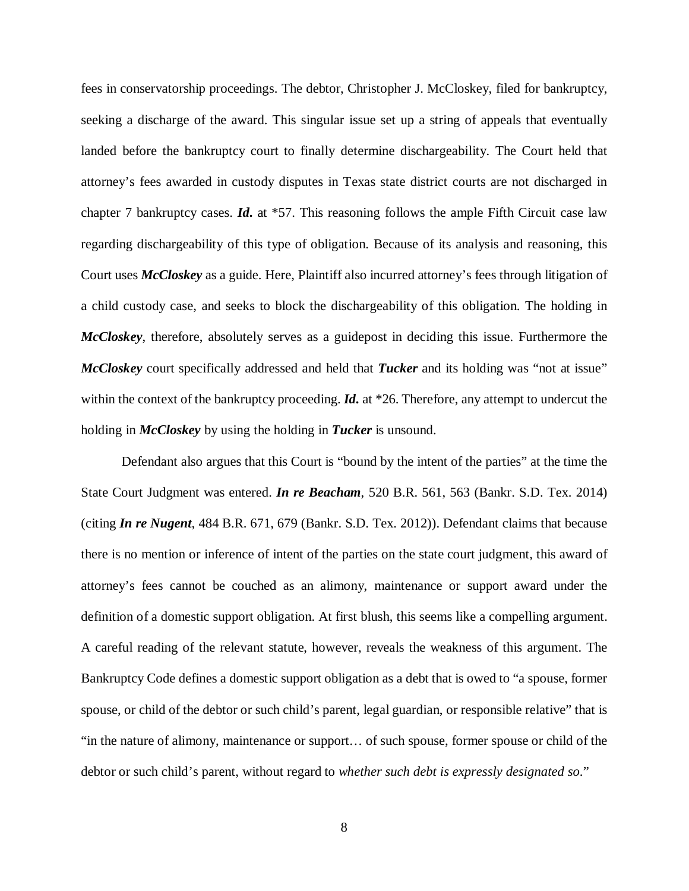fees in conservatorship proceedings. The debtor, Christopher J. McCloskey, filed for bankruptcy, seeking a discharge of the award. This singular issue set up a string of appeals that eventually landed before the bankruptcy court to finally determine dischargeability. The Court held that attorney's fees awarded in custody disputes in Texas state district courts are not discharged in chapter 7 bankruptcy cases. *Id***.** at \*57. This reasoning follows the ample Fifth Circuit case law regarding dischargeability of this type of obligation. Because of its analysis and reasoning, this Court uses *McCloskey* as a guide. Here, Plaintiff also incurred attorney's fees through litigation of a child custody case, and seeks to block the dischargeability of this obligation. The holding in *McCloskey*, therefore, absolutely serves as a guidepost in deciding this issue. Furthermore the *McCloskey* court specifically addressed and held that *Tucker* and its holding was "not at issue" within the context of the bankruptcy proceeding. *Id.* at \*26. Therefore, any attempt to undercut the holding in *McCloskey* by using the holding in *Tucker* is unsound.

Defendant also argues that this Court is "bound by the intent of the parties" at the time the State Court Judgment was entered. *In re Beacham*, 520 B.R. 561, 563 (Bankr. S.D. Tex. 2014) (citing *In re Nugent*, 484 B.R. 671, 679 (Bankr. S.D. Tex. 2012)). Defendant claims that because there is no mention or inference of intent of the parties on the state court judgment, this award of attorney's fees cannot be couched as an alimony, maintenance or support award under the definition of a domestic support obligation. At first blush, this seems like a compelling argument. A careful reading of the relevant statute, however, reveals the weakness of this argument. The Bankruptcy Code defines a domestic support obligation as a debt that is owed to "a spouse, former spouse, or child of the debtor or such child's parent, legal guardian, or responsible relative" that is "in the nature of alimony, maintenance or support… of such spouse, former spouse or child of the debtor or such child's parent, without regard to *whether such debt is expressly designated so*."